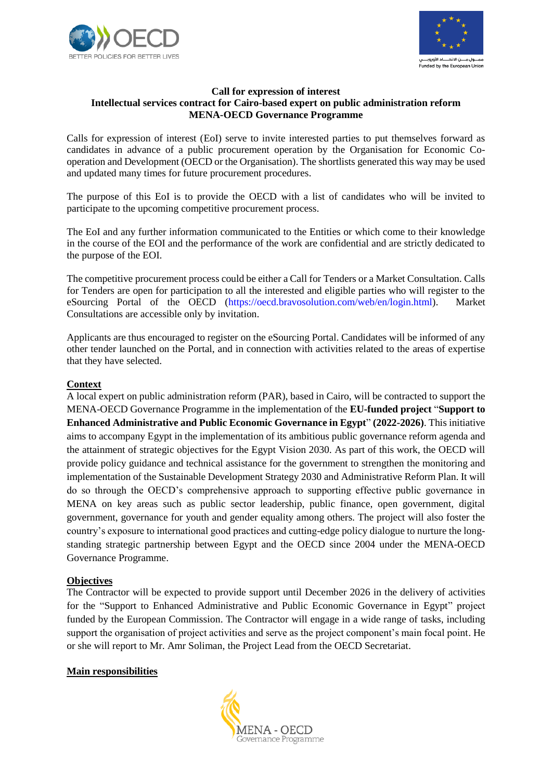



#### **Call for expression of interest Intellectual services contract for Cairo-based expert on public administration reform MENA-OECD Governance Programme**

Calls for expression of interest (EoI) serve to invite interested parties to put themselves forward as candidates in advance of a public procurement operation by the Organisation for Economic Cooperation and Development (OECD or the Organisation). The shortlists generated this way may be used and updated many times for future procurement procedures.

The purpose of this EoI is to provide the OECD with a list of candidates who will be invited to participate to the upcoming competitive procurement process.

The EoI and any further information communicated to the Entities or which come to their knowledge in the course of the EOI and the performance of the work are confidential and are strictly dedicated to the purpose of the EOI.

The competitive procurement process could be either a Call for Tenders or a Market Consultation. Calls for Tenders are open for participation to all the interested and eligible parties who will register to the eSourcing Portal of the OECD [\(https://oecd.bravosolution.com/web/en/login.html\)](https://oecd.bravosolution.com/web/en/login.html). Market Consultations are accessible only by invitation.

Applicants are thus encouraged to register on the eSourcing Portal. Candidates will be informed of any other tender launched on the Portal, and in connection with activities related to the areas of expertise that they have selected.

### **Context**

A local expert on public administration reform (PAR), based in Cairo, will be contracted to support the MENA-OECD Governance Programme in the implementation of the **EU-funded project** "**Support to Enhanced Administrative and Public Economic Governance in Egypt**" **(2022-2026)**. This initiative aims to accompany Egypt in the implementation of its ambitious public governance reform agenda and the attainment of strategic objectives for the Egypt Vision 2030. As part of this work, the OECD will provide policy guidance and technical assistance for the government to strengthen the monitoring and implementation of the Sustainable Development Strategy 2030 and Administrative Reform Plan. It will do so through the OECD's comprehensive approach to supporting effective public governance in MENA on key areas such as public sector leadership, public finance, open government, digital government, governance for youth and gender equality among others. The project will also foster the country's exposure to international good practices and cutting-edge policy dialogue to nurture the longstanding strategic partnership between Egypt and the OECD since 2004 under the MENA-OECD Governance Programme.

#### **Objectives**

The Contractor will be expected to provide support until December 2026 in the delivery of activities for the "Support to Enhanced Administrative and Public Economic Governance in Egypt" project funded by the European Commission. The Contractor will engage in a wide range of tasks, including support the organisation of project activities and serve as the project component's main focal point. He or she will report to Mr. Amr Soliman, the Project Lead from the OECD Secretariat.

#### **Main responsibilities**

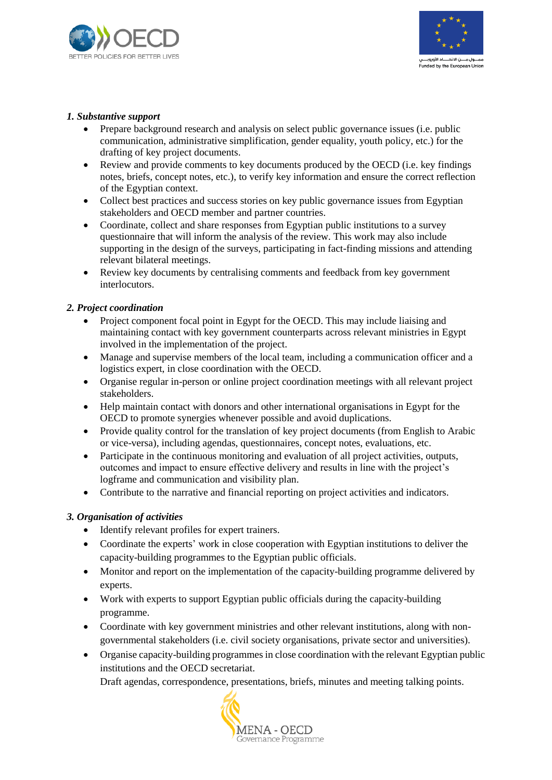



## *1. Substantive support*

- Prepare background research and analysis on select public governance issues (i.e. public communication, administrative simplification, gender equality, youth policy, etc.) for the drafting of key project documents.
- Review and provide comments to key documents produced by the OECD (i.e. key findings notes, briefs, concept notes, etc.), to verify key information and ensure the correct reflection of the Egyptian context.
- Collect best practices and success stories on key public governance issues from Egyptian stakeholders and OECD member and partner countries.
- Coordinate, collect and share responses from Egyptian public institutions to a survey questionnaire that will inform the analysis of the review. This work may also include supporting in the design of the surveys, participating in fact-finding missions and attending relevant bilateral meetings.
- Review key documents by centralising comments and feedback from key government interlocutors.

### *2. Project coordination*

- Project component focal point in Egypt for the OECD. This may include liaising and maintaining contact with key government counterparts across relevant ministries in Egypt involved in the implementation of the project.
- Manage and supervise members of the local team, including a communication officer and a logistics expert, in close coordination with the OECD.
- Organise regular in-person or online project coordination meetings with all relevant project stakeholders.
- Help maintain contact with donors and other international organisations in Egypt for the OECD to promote synergies whenever possible and avoid duplications.
- Provide quality control for the translation of key project documents (from English to Arabic or vice-versa), including agendas, questionnaires, concept notes, evaluations, etc.
- Participate in the continuous monitoring and evaluation of all project activities, outputs, outcomes and impact to ensure effective delivery and results in line with the project's logframe and communication and visibility plan.
- Contribute to the narrative and financial reporting on project activities and indicators.

# *3. Organisation of activities*

- Identify relevant profiles for expert trainers.
- Coordinate the experts' work in close cooperation with Egyptian institutions to deliver the capacity-building programmes to the Egyptian public officials.
- Monitor and report on the implementation of the capacity-building programme delivered by experts.
- Work with experts to support Egyptian public officials during the capacity-building programme.
- Coordinate with key government ministries and other relevant institutions, along with nongovernmental stakeholders (i.e. civil society organisations, private sector and universities).
- Organise capacity-building programmes in close coordination with the relevant Egyptian public institutions and the OECD secretariat.

Draft agendas, correspondence, presentations, briefs, minutes and meeting talking points.